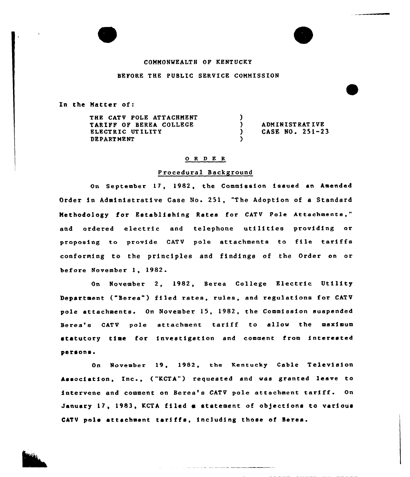# COMMONWEALTH OF KENTUCKY BEFORE THE PUBLIC SERVICE COMMISSION

In the Matter of:

THE CATV POLE ATTACHMENT TARIFF OF BEREA COLLEGE ELECTRIC UT ILITY DEPARTMENT  $\frac{1}{2}$ ) ADMINISTRATIVE<br>
) CASE NO. 251-2 CASE NO. 251-23 )

### 0 R <sup>D</sup> E R

#### <sup>P</sup> rocedural Background

On September 17, 1982, the Commission issued an Amended Order in Administrative Case No. 251, "The Adoption of <sup>a</sup> Standard Methodology for Establishing Rates for CATV Pole Attachments," and ordered electric and telephone utilities providing or proposing to provide CATV pole attachments to file tariffs conforming to the principles and findings of the Order on or before November 1, 1982.

On November 2, 1982, Berea College Electric Utility De<mark>partment ("Berea") filed r</mark>ates, rules, and regulations for CATV pole attachments. On November 15, 1982, the Commission suspended Berea's CATV pole attachment tariff to allow the maximum statutory time for investigation and comment from interested persons.

On November 19, 1982, the Kentucky Cable Television Association, , ("KCTA") requested end was granted leave to intervene and comment on Beres's CATV pole attachment tariff. On January 17, 1983, KCTA filed <sup>m</sup> statement of objections to various CATV pole attachment tariffs, including those of Bares.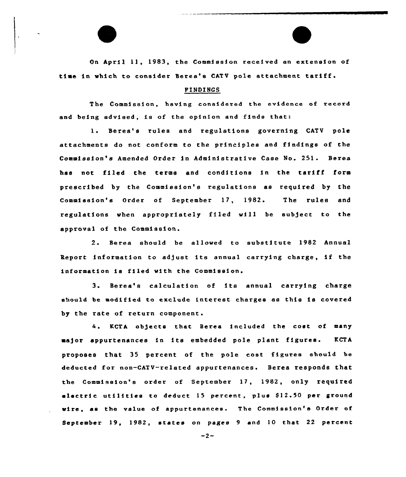On April 11, 1983, the Commission received an extension of time in which to consider Berea's CATV pole attachment tariff.

## FINDINCS

The Commission, having considered the evidence of record and being advised, is of the opinion and finds that:

1. Berea's rules and regulations governing CATV pole attachments do not conform to the principles and findings of the Commission's Amended Order in Administrative Case No. 251. Berea has not filed the terms and conditions in the tariff form prescribed by the Commission's regulations as required by the Commission's Order of September 17, 1982. The rules and regulations when appropriately filed will be subject to the approval of the Commission.

2. Berea should be allowed to substitute 1982 Annual Report information to ad)ust its annual carrying charge, if the information is filed with the Commission.

3. Berea's calculation of its annual carrying charge should be modified to exclude interest charges as this is covered by the rate of return component.

4. KCTA ob)ecte that Berea included the cost of many major appurtenances in its embedded pole plant figures. KCTA proposes that 35 percent of the pole cost figures should be deducted for non-CATV-related appurtenances. Berea responds that the Commission's order of September 17, 1982, only required electric utilities to deduct 15 percent, plus \$12.50 per ground wire, as the value of appurtenances. The Commission's Order of September 19, 1982, states on pages 9 and 10 that 22 percent

 $-2-$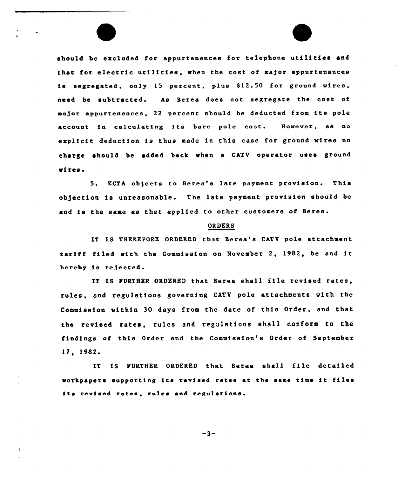should be excluded for appurtenances for telephone utilities and that for electric utilities, when the cost of major appurtenances is segregated, only 15 percent, plus \$12.50 for ground wires, need be subtracted. As Berea does not segregate the cost of major appurtenances, 22 percent should be deducted from its pole account in calculating its bere pole cost. However, as no ezplicit deduction is thus made in this case for ground wires no charge should be added back «hen a CATV operator uses ground «i res <sup>~</sup>

5. KCTA ob)ects to Beree's late payment provision. This objection is unreasonable. The late payment provision should be end is the same es thet epplied to other customers of Beree.

#### ORDERS

IT IS THEREPORE ORDERED that Beree's CATV pole attachment tariff filed «ith the Commission on November 2, 1982, be and it hereby is rejected.

IT IS FURTHER ORDERED that Beree shall file revised rates, rules, end regulations governing CATV pole attachments with the Commission within 30 days from the date of this Order, and that the revised rates, rules end regulations shall conform to the findings of this Order end the Commission's Order of September 17, 1982

IT IS FURTHER ORDERED that Berea shall file detailed workpapers supporting its revised rates at the same time it files its revised rates, rules and regulations.

 $-3-$ 

Ť